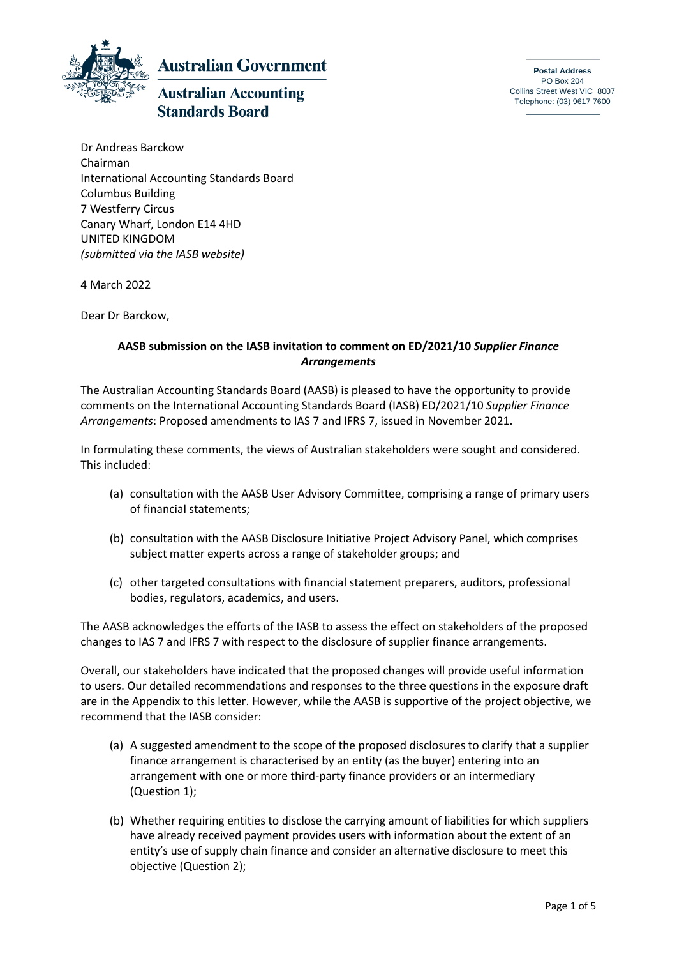

**Australian Government** 

# **Australian Accounting Standards Board**

**Postal Address** PO Box 204 Collins Street West VIC 8007 Telephone: (03) 9617 7600

Dr Andreas Barckow Chairman International Accounting Standards Board Columbus Building 7 Westferry Circus Canary Wharf, London E14 4HD UNITED KINGDOM *(submitted via the IASB website)*

4 March 2022

Dear Dr Barckow,

# **AASB submission on the IASB invitation to comment on ED/2021/10** *Supplier Finance Arrangements*

The Australian Accounting Standards Board (AASB) is pleased to have the opportunity to provide comments on the International Accounting Standards Board (IASB) ED/2021/10 *Supplier Finance Arrangements*: Proposed amendments to IAS 7 and IFRS 7, issued in November 2021.

In formulating these comments, the views of Australian stakeholders were sought and considered. This included:

- (a) consultation with the AASB User Advisory Committee, comprising a range of primary users of financial statements;
- (b) consultation with the AASB Disclosure Initiative Project Advisory Panel, which comprises subject matter experts across a range of stakeholder groups; and
- (c) other targeted consultations with financial statement preparers, auditors, professional bodies, regulators, academics, and users.

The AASB acknowledges the efforts of the IASB to assess the effect on stakeholders of the proposed changes to IAS 7 and IFRS 7 with respect to the disclosure of supplier finance arrangements.

Overall, our stakeholders have indicated that the proposed changes will provide useful information to users. Our detailed recommendations and responses to the three questions in the exposure draft are in the Appendix to this letter. However, while the AASB is supportive of the project objective, we recommend that the IASB consider:

- (a) A suggested amendment to the scope of the proposed disclosures to clarify that a supplier finance arrangement is characterised by an entity (as the buyer) entering into an arrangement with one or more third-party finance providers or an intermediary (Question 1);
- (b) Whether requiring entities to disclose the carrying amount of liabilities for which suppliers have already received payment provides users with information about the extent of an entity's use of supply chain finance and consider an alternative disclosure to meet this objective (Question 2);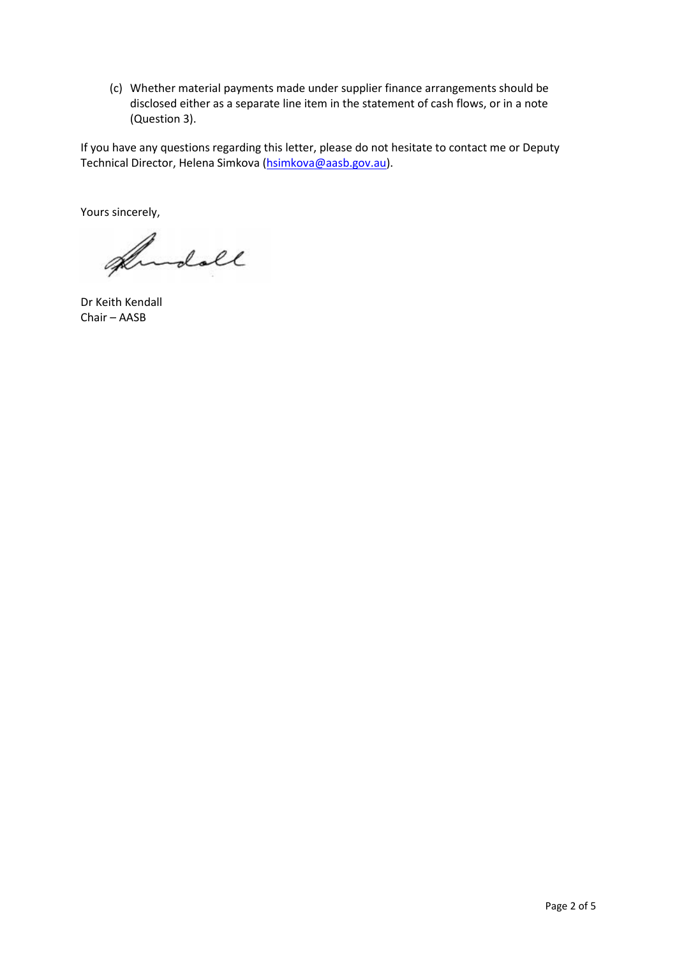(c) Whether material payments made under supplier finance arrangements should be disclosed either as a separate line item in the statement of cash flows, or in a note (Question 3).

If you have any questions regarding this letter, please do not hesitate to contact me or Deputy Technical Director, Helena Simkova [\(hsimkova@aasb.gov.au\)](mailto:hsimkova@aasb.gov.au).

Yours sincerely,

Andoll

Dr Keith Kendall Chair – AASB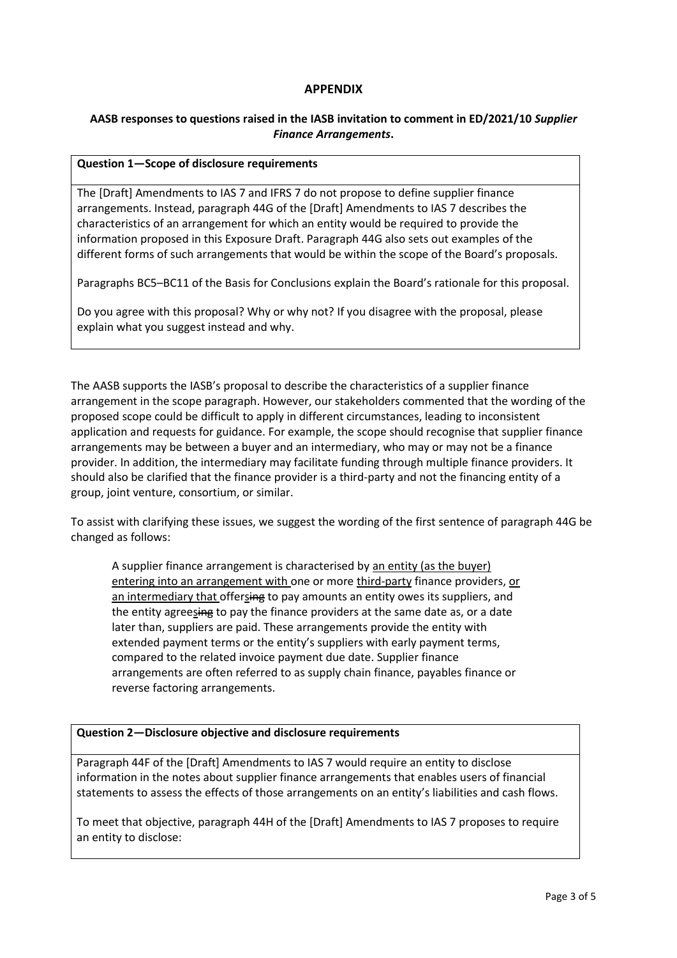## **APPENDIX**

## **AASB responses to questions raised in the IASB invitation to comment in ED/2021/10** *Supplier Finance Arrangements***.**

#### **Question 1—Scope of disclosure requirements**

The [Draft] Amendments to IAS 7 and IFRS 7 do not propose to define supplier finance arrangements. Instead, paragraph 44G of the [Draft] Amendments to IAS 7 describes the characteristics of an arrangement for which an entity would be required to provide the information proposed in this Exposure Draft. Paragraph 44G also sets out examples of the different forms of such arrangements that would be within the scope of the Board's proposals.

Paragraphs BC5–BC11 of the Basis for Conclusions explain the Board's rationale for this proposal.

Do you agree with this proposal? Why or why not? If you disagree with the proposal, please explain what you suggest instead and why.

The AASB supports the IASB's proposal to describe the characteristics of a supplier finance arrangement in the scope paragraph. However, our stakeholders commented that the wording of the proposed scope could be difficult to apply in different circumstances, leading to inconsistent application and requests for guidance. For example, the scope should recognise that supplier finance arrangements may be between a buyer and an intermediary, who may or may not be a finance provider. In addition, the intermediary may facilitate funding through multiple finance providers. It should also be clarified that the finance provider is a third-party and not the financing entity of a group, joint venture, consortium, or similar.

To assist with clarifying these issues, we suggest the wording of the first sentence of paragraph 44G be changed as follows:

A supplier finance arrangement is characterised by an entity (as the buyer) entering into an arrangement with one or more third-party finance providers, or an intermediary that offersing to pay amounts an entity owes its suppliers, and the entity agreesing to pay the finance providers at the same date as, or a date later than, suppliers are paid. These arrangements provide the entity with extended payment terms or the entity's suppliers with early payment terms, compared to the related invoice payment due date. Supplier finance arrangements are often referred to as supply chain finance, payables finance or reverse factoring arrangements.

### **Question 2—Disclosure objective and disclosure requirements**

Paragraph 44F of the [Draft] Amendments to IAS 7 would require an entity to disclose information in the notes about supplier finance arrangements that enables users of financial statements to assess the effects of those arrangements on an entity's liabilities and cash flows.

To meet that objective, paragraph 44H of the [Draft] Amendments to IAS 7 proposes to require an entity to disclose: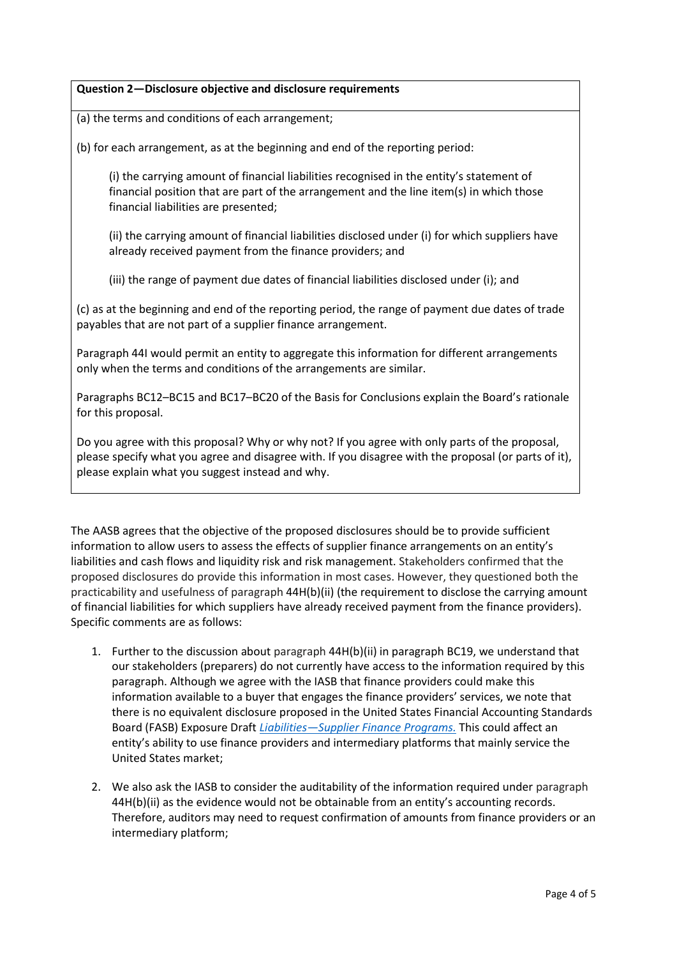## **Question 2—Disclosure objective and disclosure requirements**

(a) the terms and conditions of each arrangement;

(b) for each arrangement, as at the beginning and end of the reporting period:

(i) the carrying amount of financial liabilities recognised in the entity's statement of financial position that are part of the arrangement and the line item(s) in which those financial liabilities are presented;

(ii) the carrying amount of financial liabilities disclosed under (i) for which suppliers have already received payment from the finance providers; and

(iii) the range of payment due dates of financial liabilities disclosed under (i); and

(c) as at the beginning and end of the reporting period, the range of payment due dates of trade payables that are not part of a supplier finance arrangement.

Paragraph 44I would permit an entity to aggregate this information for different arrangements only when the terms and conditions of the arrangements are similar.

Paragraphs BC12–BC15 and BC17–BC20 of the Basis for Conclusions explain the Board's rationale for this proposal.

Do you agree with this proposal? Why or why not? If you agree with only parts of the proposal, please specify what you agree and disagree with. If you disagree with the proposal (or parts of it), please explain what you suggest instead and why.

The AASB agrees that the objective of the proposed disclosures should be to provide sufficient information to allow users to assess the effects of supplier finance arrangements on an entity's liabilities and cash flows and liquidity risk and risk management. Stakeholders confirmed that the proposed disclosures do provide this information in most cases. However, they questioned both the practicability and usefulness of paragraph 44H(b)(ii) (the requirement to disclose the carrying amount of financial liabilities for which suppliers have already received payment from the finance providers). Specific comments are as follows:

- 1. Further to the discussion about paragraph 44H(b)(ii) in paragraph BC19, we understand that our stakeholders (preparers) do not currently have access to the information required by this paragraph. Although we agree with the IASB that finance providers could make this information available to a buyer that engages the finance providers' services, we note that there is no equivalent disclosure proposed in the United States Financial Accounting Standards Board (FASB) Exposure Draft *Liabilities—[Supplier Finance Programs.](https://www.fasb.org/jsp/FASB/Document_C/DocumentPage?cid=1176179161221&acceptedDisclaimer=true)* This could affect an entity's ability to use finance providers and intermediary platforms that mainly service the United States market;
- 2. We also ask the IASB to consider the auditability of the information required under paragraph 44H(b)(ii) as the evidence would not be obtainable from an entity's accounting records. Therefore, auditors may need to request confirmation of amounts from finance providers or an intermediary platform;